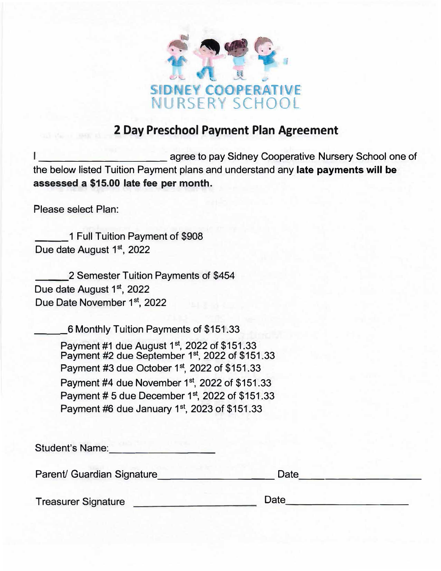

## **2 Day Preschool Payment Plan Agreement**

agree to pay Sidney Cooperative Nursery School one of the below listed Tuition Payment plans and understand any **late payments will be assessed a \$15.00 late fee per month.**

Please select Plan:

1 Full Tuition Payment of \$908 Due date August 1st, 2022

2 Semester Tuition Payments of \$454 Due date August 1<sup>st</sup>, 2022 Due Date November 1st, 2022

\_\_\_6 Monthly Tuition Payments of \$151.33

Payment #1 due August 1<sup>st</sup>, 2022 of \$151.33 Payment #2 due September 1st, 2022 of \$151.33 Payment #3 due October 1st, 2022 of \$151.33 Payment #4 due November 1st, 2022 of \$151.33 Payment # 5 due December 1st, 2022 of \$151.33 Payment #6 due January 1st, 2023 of \$151.33

| <b>Student's Name:</b>     |      |  |
|----------------------------|------|--|
| Parent/ Guardian Signature | Date |  |
| <b>Treasurer Signature</b> | Date |  |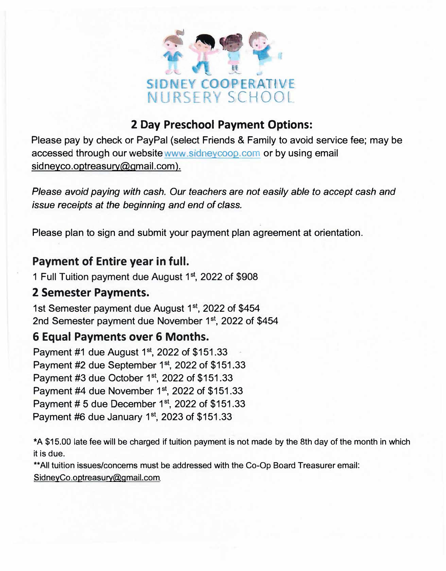

# **2 Day Preschool Payment Options:**

Please pay by check or PayPal (select Friends & Family to avoid service fee; may be accessed through our website www sidneycoop.com or by using email sidneyco.optreasury@gmail.com).

*Please avoid paying with cash. Our teachers are not easily able to accept cash and issue receipts at the beginning and end of* class.

Please plan to sign and submit your payment plan agreement at orientation.

## **Payment of Entire year in full.**

1 Full Tuition payment due August 1<sup>st</sup>, 2022 of \$908

#### **2 Semester Payments.**

1st Semester payment due August 1<sup>st</sup>, 2022 of \$454 2nd Semester payment due November 1<sup>st</sup>, 2022 of \$454

# **6 Equal Payments over 6 Months.**

Payment #1 due August  $1<sup>st</sup>$ , 2022 of \$151.33 Payment #2 due September  $1<sup>st</sup>$ , 2022 of \$151.33 Payment #3 due October  $1<sup>st</sup>$ , 2022 of \$151.33 Payment  $#4$  due November 1st, 2022 of \$151.33 Payment # 5 due December  $1<sup>st</sup>$ , 2022 of \$151.33 Payment #6 due January 1st, 2023 of \$151.33

\*A \$15.00 late fee will be charged if tuition payment is not made by the 8th day of the month in which it is due.

\*\*All tuition issues/concerns must be addressed with the Co-Op Board Treasurer email: SidneyCo.optreasury@gmail.com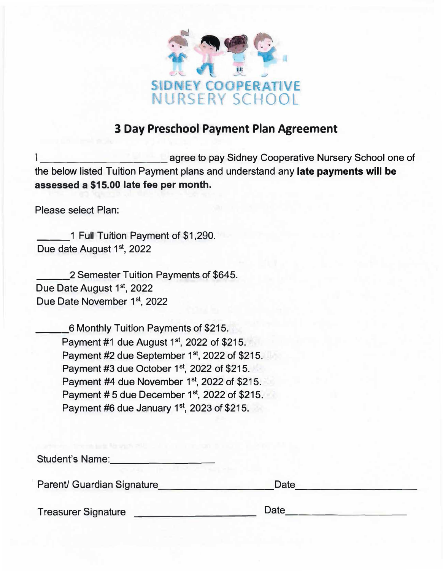

### **3 Day Preschool Payment Plan Agreement**

agree to pay Sidney Cooperative Nursery School one of the below listed Tuition Payment plans and understand any **late payments will be assessed a \$15.00 late fee per month.**

Please select Plan:

\_\_\_1 Full Tuition Payment of \$1,290. Due date August 1<sup>st</sup>, 2022

2 Semester Tuition Payments of \$645. Due Date August 1st, 2022 Due Date November 1st, 2022

> \_\_\_6 Monthly Tuition Payments of \$215. Payment #1 due August 1st, 2022 of \$215. Payment #2 due September 1st, 2022 of \$215. Payment #3 due October 1st, 2022 of \$215. Payment #4 due November 1st, 2022 of \$215. Payment #5 due December 1st, 2022 of \$215. Payment #6 due January 1st, 2023 of \$215.

| <b>Student's Name:</b>     |      |  |
|----------------------------|------|--|
| Parent/ Guardian Signature | Date |  |
| <b>Treasurer Signature</b> | Date |  |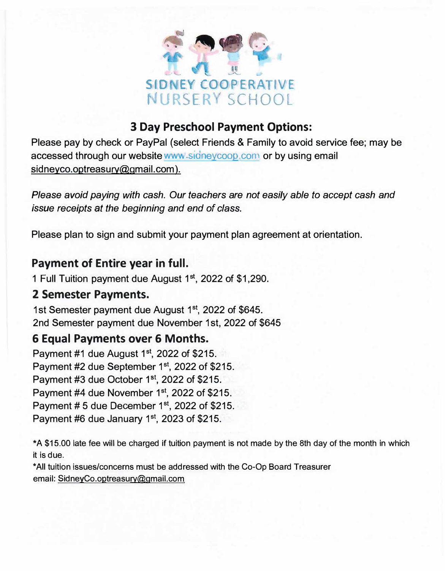

# **3 Day Preschool Payment Options:**

Please pay by check or PayPal (select Friends & Family to avoid service fee; may be accessed through our website www signeycoop.com or by using email sidneyco.optreasury@gmail.com).

*Please avoid paying with cash. Our teachers are not easily able to accept cash and*  issue *receipts at the beginning and end of class.* 

Please plan to sign and submit your payment plan agreement at orientation.

## **Payment of Entire year in full.**

1 Full Tuition payment due August 1<sup>st</sup>, 2022 of \$1,290.

#### **2 Semester Payments.**

1st Semester payment due August 1<sup>st</sup>, 2022 of \$645. 2nd Semester payment due November 1st, 2022 of \$645

# **6 Equal Payments over 6 Months.**

Payment  $#1$  due August  $1<sup>st</sup>$ , 2022 of \$215. Payment #2 due September 1<sup>st</sup>, 2022 of \$215. Payment #3 due October 1<sup>st</sup>, 2022 of \$215. Payment #4 due November 1<sup>st</sup>, 2022 of \$215. Payment  $# 5$  due December  $1<sup>st</sup>$ , 2022 of \$215. Payment #6 due January  $1<sup>st</sup>$ , 2023 of \$215.

\*A \$15.00 late fee will be charged If tuition payment is not made by the 8th day of the month in which it is due.

\*All tuition issues/concerns must be addressed with the Co-Op Board Treasurer email: SidneyCo.optreasury@gmail.com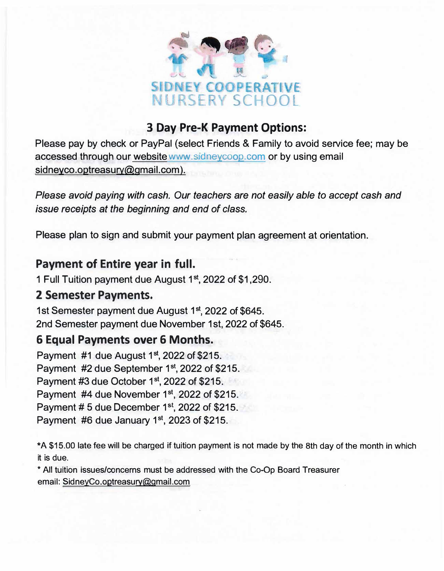

## **3 Day Pre-K Payment Options:**

Please pay by check or PayPal (select Friends & Family to avoid service fee; may be accessed through our website www.sidneycoop.com or by using email sidneyco.optreasury@gmail.com).

*Please avoid paying with cash. Our teachers are not easily able to accept cash and issue receipts at the beginning and end of class.* 

Please plan to sign and submit your payment plan agreement at orientation.

## **Payment of Entire year in full.**

1 Full Tuition payment due August 1<sup>st</sup>, 2022 of \$1,290.

## **2 Semester Payments.**

1st Semester payment due August 1<sup>st</sup>, 2022 of \$645. 2nd Semester payment due November 1st, 2022 of \$645.

# **6 Equal Payments over 6 Months.**

Payment #1 due August 1st, 2022 of \$215. Payment #2 due September 1<sup>st</sup>, 2022 of \$215. Payment #3 due October 1st, 2022 of \$215. Payment #4 due November 1st, 2022 of \$215. Payment # 5 due December 1st, 2022 of \$215. Payment #6 due January 1st, 2023 of \$215.

\*A \$15.00 late fee will be charged if tuition payment is not made by the 8th day of the month in which it is due.

\* All tuition issues/concerns must be addressed with the Co-Op Board Treasurer email: SidneyCo.optreasury@gmail.com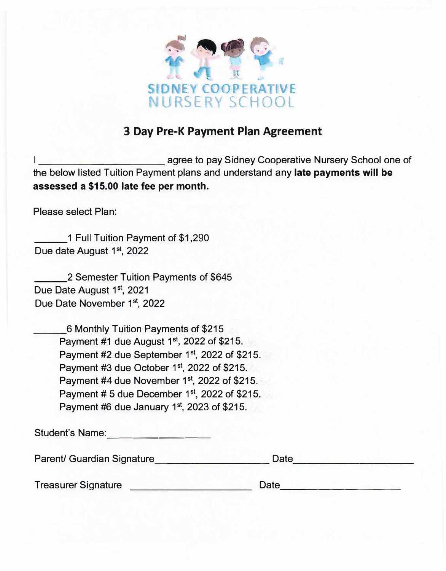

### **3 Day Pre-K Payment Plan Agreement**

example agree to pay Sidney Cooperative Nursery School one of the below listed Tuition Payment plans and understand any **late payments will be assessed a \$15.00 late fee per month.** 

Please select Plan:

1 Full Tuition Payment of \$1,290 Due date August 1st, 2022

\_\_\_2 Semester Tuition Payments of \$645 Due Date August 1st, 2021 Due Date November 1st, 2022

\_\_\_6 Monthly Tuition Payments of \$215 Payment #1 due August 1<sup>st</sup>, 2022 of \$215. Payment #2 due September 1st, 2022 of \$215. Payment #3 due October 1<sup>st</sup>, 2022 of \$215. Payment #4 due November 1<sup>st</sup>, 2022 of \$215. Payment # 5 due December 1st, 2022 of \$215. Payment #6 due January 1st, 2023 of \$215.

Student's Name:

Parent/ Guardian Signature **Date Date 2018** 

Treasurer Signature Date ---------

| ate |  |  |  |
|-----|--|--|--|
|     |  |  |  |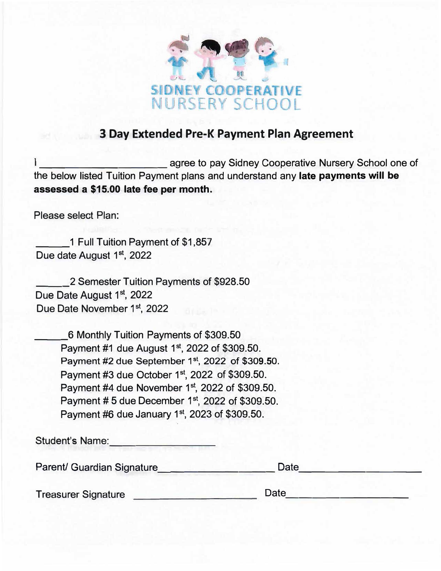

### **3 Day Extended Pre-K Payment Plan Agreement**

agree to pay Sidney Cooperative Nursery School one of the below listed Tuition Payment plans and understand any **late payments will be assessed a \$15.00 late fee per month.**

Please select Plan:

\_\_\_1 Full Tuition Payment of \$1,857 Due date August 1st, 2022

\_\_\_2 Semester Tuition Payments of \$928.50 Due Date August 1st, 2022 Due Date November 1<sup>st</sup>, 2022

| 6 Monthly Tuition Payments of \$309.50                      |
|-------------------------------------------------------------|
| Payment #1 due August 1st, 2022 of \$309.50.                |
| Payment #2 due September 1st, 2022 of \$309.50.             |
| Payment #3 due October 1st, 2022 of \$309.50.               |
| Payment #4 due November 1st, 2022 of \$309.50.              |
| Payment #5 due December 1 <sup>st</sup> , 2022 of \$309.50. |
| Payment #6 due January 1st, 2023 of \$309.50.               |

Student's Name:

Parent/ Guardian Signature Date Date

Treasurer Signature \_\_\_\_\_\_\_\_\_\_\_\_\_\_\_\_\_\_\_\_\_\_\_\_\_\_\_Date\_